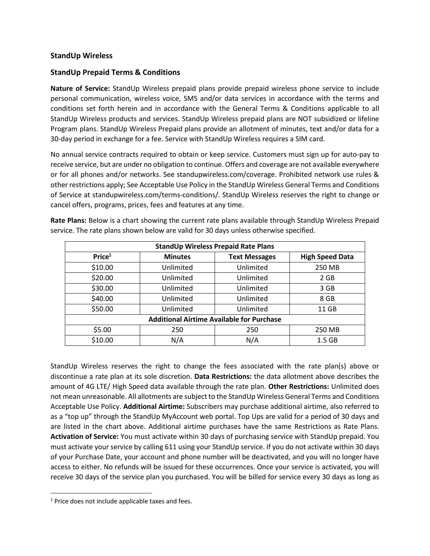## **StandUp Wireless**

## **StandUp Prepaid Terms & Conditions**

**Nature of Service:** StandUp Wireless prepaid plans provide prepaid wireless phone service to include personal communication, wireless voice, SMS and/or data services in accordance with the terms and conditions set forth herein and in accordance with the General Terms & Conditions applicable to all StandUp Wireless products and services. StandUp Wireless prepaid plans are NOT subsidized or lifeline Program plans. StandUp Wireless Prepaid plans provide an allotment of minutes, text and/or data for a 30-day period in exchange for a fee. Service with StandUp Wireless requires a SIM card.

No annual service contracts required to obtain or keep service. Customers must sign up for auto-pay to receive service, but are under no obligation to continue. Offers and coverage are not available everywhere or for all phones and/or networks. See standupwireless.com/coverage. Prohibited network use rules & other restrictions apply; See Acceptable Use Policy in the StandUp Wireless General Terms and Conditions of Service at standupwireless.com/terms-conditions/. StandUp Wireless reserves the right to change or cancel offers, programs, prices, fees and features at any time.

| <b>StandUp Wireless Prepaid Rate Plans</b>       |                |                      |                        |
|--------------------------------------------------|----------------|----------------------|------------------------|
| Price <sup>1</sup>                               | <b>Minutes</b> | <b>Text Messages</b> | <b>High Speed Data</b> |
| \$10.00                                          | Unlimited      | Unlimited            | 250 MB                 |
| \$20.00                                          | Unlimited      | Unlimited            | 2 GB                   |
| \$30.00                                          | Unlimited      | Unlimited            | 3 GB                   |
| \$40.00                                          | Unlimited      | Unlimited            | 8 GB                   |
| \$50.00                                          | Unlimited      | Unlimited            | 11 GB                  |
| <b>Additional Airtime Available for Purchase</b> |                |                      |                        |
| \$5.00                                           | 250            | 250                  | 250 MB                 |
| \$10.00                                          | N/A            | N/A                  | 1.5 GB                 |

**Rate Plans:** Below is a chart showing the current rate plans available through StandUp Wireless Prepaid service. The rate plans shown below are valid for 30 days unless otherwise specified.

StandUp Wireless reserves the right to change the fees associated with the rate plan(s) above or discontinue a rate plan at its sole discretion. **Data Restrictions:** the data allotment above describes the amount of 4G LTE/ High Speed data available through the rate plan. **Other Restrictions:** Unlimited does not mean unreasonable. All allotments are subject to the StandUp Wireless General Terms and Conditions Acceptable Use Policy. **Additional Airtime:** Subscribers may purchase additional airtime, also referred to as a "top up" through the StandUp MyAccount web portal. Top Ups are valid for a period of 30 days and are listed in the chart above. Additional airtime purchases have the same Restrictions as Rate Plans. **Activation of Service:** You must activate within 30 days of purchasing service with StandUp prepaid. You must activate your service by calling 611 using your StandUp service. If you do not activate within 30 days of your Purchase Date, your account and phone number will be deactivated, and you will no longer have access to either. No refunds will be issued for these occurrences. Once your service is activated, you will receive 30 days of the service plan you purchased. You will be billed for service every 30 days as long as

 $1$  Price does not include applicable taxes and fees.